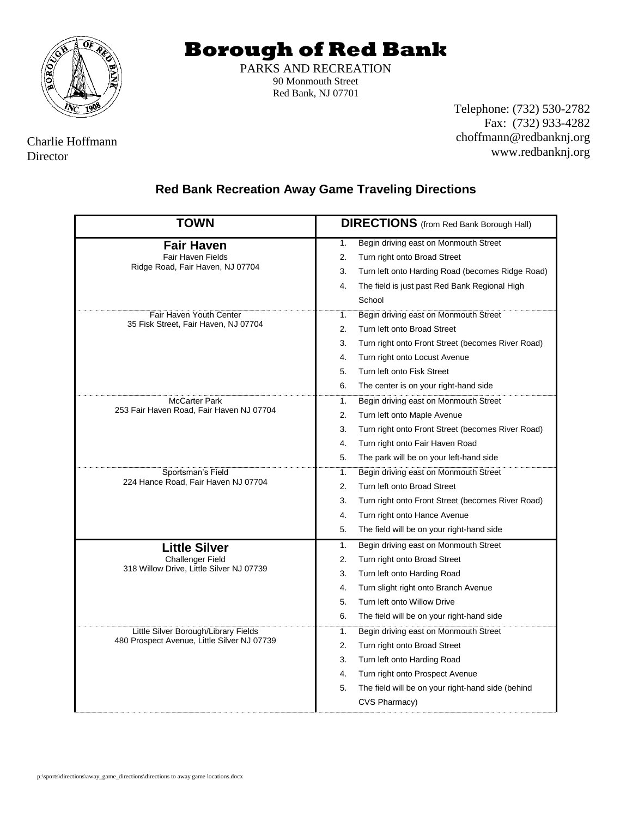

Charlie Hoffmann

Director

**Borough of Red Bank**

PARKS AND RECREATION 90 Monmouth Street Red Bank, NJ 07701

> Telephone: (732) 530-2782 Fax: (732) 933-4282 choffmann@redbanknj.org www.redbanknj.org

## **Red Bank Recreation Away Game Traveling Directions**

| TOWN                                                                       | <b>DIRECTIONS</b> (from Red Bank Borough Hall)          |
|----------------------------------------------------------------------------|---------------------------------------------------------|
| <b>Fair Haven</b><br>Fair Haven Fields<br>Ridge Road, Fair Haven, NJ 07704 | 1.<br>Begin driving east on Monmouth Street             |
|                                                                            | 2.<br>Turn right onto Broad Street                      |
|                                                                            | 3.<br>Turn left onto Harding Road (becomes Ridge Road)  |
|                                                                            | The field is just past Red Bank Regional High<br>4.     |
|                                                                            | School                                                  |
| Fair Haven Youth Center                                                    | Begin driving east on Monmouth Street<br>1.             |
| 35 Fisk Street, Fair Haven, NJ 07704                                       | Turn left onto Broad Street<br>2.                       |
|                                                                            | Turn right onto Front Street (becomes River Road)<br>3. |
|                                                                            | Turn right onto Locust Avenue<br>4.                     |
|                                                                            | Turn left onto Fisk Street<br>5.                        |
|                                                                            | 6.<br>The center is on your right-hand side             |
| <b>McCarter Park</b>                                                       | Begin driving east on Monmouth Street<br>1.             |
| 253 Fair Haven Road, Fair Haven NJ 07704                                   | 2.<br>Turn left onto Maple Avenue                       |
|                                                                            | 3.<br>Turn right onto Front Street (becomes River Road) |
|                                                                            | 4.<br>Turn right onto Fair Haven Road                   |
|                                                                            | 5.<br>The park will be on your left-hand side           |
| Sportsman's Field                                                          | 1.<br>Begin driving east on Monmouth Street             |
| 224 Hance Road, Fair Haven NJ 07704                                        | Turn left onto Broad Street<br>2.                       |
|                                                                            | 3.<br>Turn right onto Front Street (becomes River Road) |
|                                                                            | 4.<br>Turn right onto Hance Avenue                      |
|                                                                            | The field will be on your right-hand side<br>5.         |
| <b>Little Silver</b>                                                       | Begin driving east on Monmouth Street<br>1.             |
| <b>Challenger Field</b>                                                    | 2.<br>Turn right onto Broad Street                      |
| 318 Willow Drive, Little Silver NJ 07739                                   | 3.<br>Turn left onto Harding Road                       |
|                                                                            | 4.<br>Turn slight right onto Branch Avenue              |
|                                                                            | Turn left onto Willow Drive<br>5.                       |
|                                                                            | 6.<br>The field will be on your right-hand side         |
| Little Silver Borough/Library Fields                                       | Begin driving east on Monmouth Street<br>1.             |
| 480 Prospect Avenue, Little Silver NJ 07739                                | Turn right onto Broad Street<br>2.                      |
|                                                                            | 3.<br>Turn left onto Harding Road                       |
|                                                                            | 4.<br>Turn right onto Prospect Avenue                   |
|                                                                            | 5.<br>The field will be on your right-hand side (behind |
|                                                                            | CVS Pharmacy)                                           |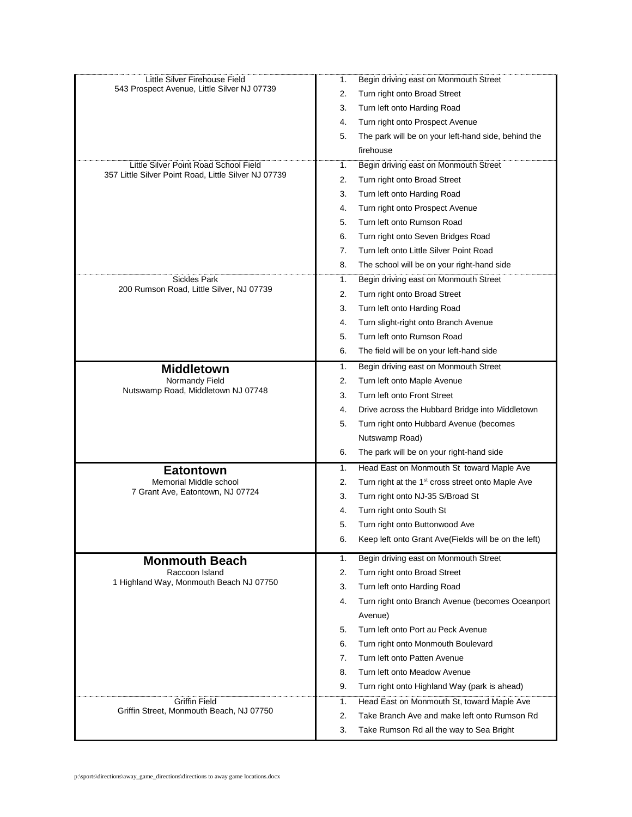| Little Silver Firehouse Field<br>543 Prospect Avenue, Little Silver NJ 07739 | Begin driving east on Monmouth Street<br>1.                         |
|------------------------------------------------------------------------------|---------------------------------------------------------------------|
|                                                                              | Turn right onto Broad Street<br>2.                                  |
|                                                                              | 3.<br>Turn left onto Harding Road                                   |
|                                                                              | Turn right onto Prospect Avenue<br>4.                               |
|                                                                              | The park will be on your left-hand side, behind the<br>5.           |
|                                                                              | firehouse                                                           |
| Little Silver Point Road School Field                                        | Begin driving east on Monmouth Street<br>1.                         |
| 357 Little Silver Point Road, Little Silver NJ 07739                         | 2.<br>Turn right onto Broad Street                                  |
|                                                                              | Turn left onto Harding Road<br>3.                                   |
|                                                                              | Turn right onto Prospect Avenue<br>4.                               |
|                                                                              | 5.<br>Turn left onto Rumson Road                                    |
|                                                                              | 6.<br>Turn right onto Seven Bridges Road                            |
|                                                                              | 7.<br>Turn left onto Little Silver Point Road                       |
|                                                                              | 8.<br>The school will be on your right-hand side                    |
| <b>Sickles Park</b>                                                          | Begin driving east on Monmouth Street<br>1.                         |
| 200 Rumson Road, Little Silver, NJ 07739                                     | Turn right onto Broad Street<br>2.                                  |
|                                                                              | 3.<br>Turn left onto Harding Road                                   |
|                                                                              | Turn slight-right onto Branch Avenue<br>4.                          |
|                                                                              | 5.<br>Turn left onto Rumson Road                                    |
|                                                                              | 6.<br>The field will be on your left-hand side                      |
| <b>Middletown</b>                                                            | Begin driving east on Monmouth Street<br>1.                         |
| Normandy Field                                                               | Turn left onto Maple Avenue<br>2.                                   |
| Nutswamp Road, Middletown NJ 07748                                           | 3.<br>Turn left onto Front Street                                   |
|                                                                              | 4.<br>Drive across the Hubbard Bridge into Middletown               |
|                                                                              | 5.<br>Turn right onto Hubbard Avenue (becomes                       |
|                                                                              | Nutswamp Road)                                                      |
|                                                                              | The park will be on your right-hand side<br>6.                      |
| <b>Eatontown</b>                                                             | Head East on Monmouth St toward Maple Ave<br>1.                     |
| Memorial Middle school                                                       | Turn right at the 1 <sup>st</sup> cross street onto Maple Ave<br>2. |
| 7 Grant Ave, Eatontown, NJ 07724                                             | Turn right onto NJ-35 S/Broad St<br>3.                              |
|                                                                              | Turn right onto South St<br>4.                                      |
|                                                                              | 5.<br>Turn right onto Buttonwood Ave                                |
|                                                                              | Keep left onto Grant Ave(Fields will be on the left)<br>6.          |
| <b>Monmouth Beach</b>                                                        | Begin driving east on Monmouth Street<br>1.                         |
| Raccoon Island                                                               | 2.<br>Turn right onto Broad Street                                  |
| 1 Highland Way, Monmouth Beach NJ 07750                                      | 3.<br>Turn left onto Harding Road                                   |
|                                                                              | Turn right onto Branch Avenue (becomes Oceanport<br>4.              |
|                                                                              | Avenue)                                                             |
|                                                                              | Turn left onto Port au Peck Avenue<br>5.                            |
|                                                                              | Turn right onto Monmouth Boulevard<br>6.                            |
|                                                                              | Turn left onto Patten Avenue<br>7.                                  |
|                                                                              | 8.<br>Turn left onto Meadow Avenue                                  |
|                                                                              | Turn right onto Highland Way (park is ahead)<br>9.                  |
| <b>Griffin Field</b>                                                         | Head East on Monmouth St, toward Maple Ave<br>1.                    |
| Griffin Street, Monmouth Beach, NJ 07750                                     | Take Branch Ave and make left onto Rumson Rd<br>2.                  |
|                                                                              | 3.<br>Take Rumson Rd all the way to Sea Bright                      |
|                                                                              |                                                                     |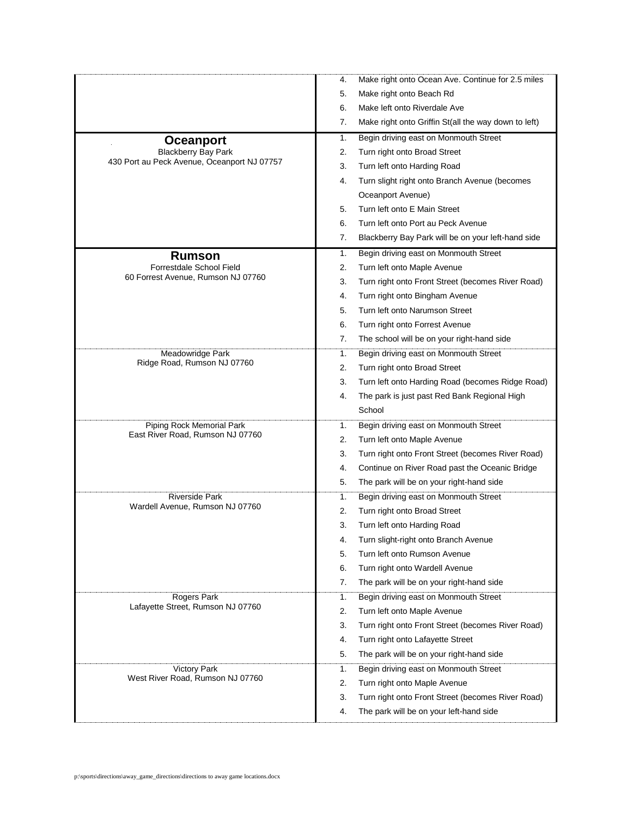|                                                          | Make right onto Ocean Ave. Continue for 2.5 miles<br>4.    |
|----------------------------------------------------------|------------------------------------------------------------|
|                                                          | Make right onto Beach Rd<br>5.                             |
|                                                          | Make left onto Riverdale Ave<br>6.                         |
|                                                          | Make right onto Griffin St(all the way down to left)<br>7. |
|                                                          | Begin driving east on Monmouth Street<br>1.                |
| <b>Oceanport</b><br><b>Blackberry Bay Park</b>           | Turn right onto Broad Street<br>2.                         |
| 430 Port au Peck Avenue, Oceanport NJ 07757              | Turn left onto Harding Road<br>3.                          |
|                                                          | Turn slight right onto Branch Avenue (becomes<br>4.        |
|                                                          | Oceanport Avenue)                                          |
|                                                          | Turn left onto E Main Street<br>5.                         |
|                                                          | Turn left onto Port au Peck Avenue<br>6.                   |
|                                                          | 7.<br>Blackberry Bay Park will be on your left-hand side   |
| <b>Rumson</b>                                            | Begin driving east on Monmouth Street<br>1.                |
| Forrestdale School Field                                 | 2.<br>Turn left onto Maple Avenue                          |
| 60 Forrest Avenue, Rumson NJ 07760                       | 3.<br>Turn right onto Front Street (becomes River Road)    |
|                                                          | 4.<br>Turn right onto Bingham Avenue                       |
|                                                          | Turn left onto Narumson Street<br>5.                       |
|                                                          | Turn right onto Forrest Avenue<br>6.                       |
|                                                          | The school will be on your right-hand side<br>7.           |
| Meadowridge Park                                         | Begin driving east on Monmouth Street<br>1.                |
| Ridge Road, Rumson NJ 07760                              | 2.<br>Turn right onto Broad Street                         |
|                                                          | Turn left onto Harding Road (becomes Ridge Road)<br>3.     |
|                                                          | The park is just past Red Bank Regional High<br>4.         |
|                                                          | School                                                     |
| Piping Rock Memorial Park                                | Begin driving east on Monmouth Street<br>1.                |
| East River Road, Rumson NJ 07760                         | Turn left onto Maple Avenue<br>2.                          |
|                                                          | 3.<br>Turn right onto Front Street (becomes River Road)    |
|                                                          | Continue on River Road past the Oceanic Bridge<br>4.       |
|                                                          | 5.<br>The park will be on your right-hand side             |
| <b>Riverside Park</b><br>Wardell Avenue, Rumson NJ 07760 | 1.<br>Begin driving east on Monmouth Street                |
|                                                          | Turn right onto Broad Street<br>2.                         |
|                                                          | 3.<br>Turn left onto Harding Road                          |
|                                                          | Turn slight-right onto Branch Avenue<br>4.                 |
|                                                          | Turn left onto Rumson Avenue<br>5.                         |
|                                                          | Turn right onto Wardell Avenue<br>6.                       |
|                                                          | 7.<br>The park will be on your right-hand side             |
| Rogers Park<br>Lafayette Street, Rumson NJ 07760         | Begin driving east on Monmouth Street<br>1.                |
|                                                          | 2.<br>Turn left onto Maple Avenue                          |
|                                                          | Turn right onto Front Street (becomes River Road)<br>3.    |
|                                                          | 4.<br>Turn right onto Lafayette Street                     |
|                                                          | 5.<br>The park will be on your right-hand side             |
| <b>Victory Park</b><br>West River Road, Rumson NJ 07760  | Begin driving east on Monmouth Street<br>1.                |
|                                                          | 2.<br>Turn right onto Maple Avenue                         |
|                                                          | 3.<br>Turn right onto Front Street (becomes River Road)    |
|                                                          | The park will be on your left-hand side<br>4.              |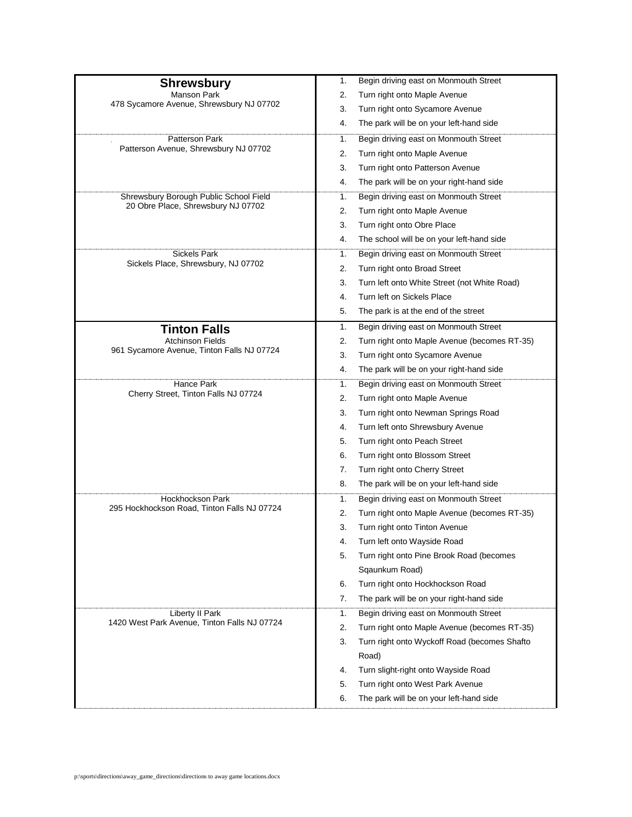|                                              | Begin driving east on Monmouth Street<br>1.        |
|----------------------------------------------|----------------------------------------------------|
| <b>Shrewsbury</b><br>Manson Park             | Turn right onto Maple Avenue<br>2.                 |
| 478 Sycamore Avenue, Shrewsbury NJ 07702     |                                                    |
|                                              | 3.<br>Turn right onto Sycamore Avenue              |
|                                              | The park will be on your left-hand side<br>4.      |
| Patterson Park                               | Begin driving east on Monmouth Street<br>1.        |
| Patterson Avenue, Shrewsbury NJ 07702        | Turn right onto Maple Avenue<br>2.                 |
|                                              | Turn right onto Patterson Avenue<br>3.             |
|                                              | The park will be on your right-hand side<br>4.     |
| Shrewsbury Borough Public School Field       | Begin driving east on Monmouth Street<br>1.        |
| 20 Obre Place, Shrewsbury NJ 07702           | 2.<br>Turn right onto Maple Avenue                 |
|                                              | Turn right onto Obre Place<br>3.                   |
|                                              | The school will be on your left-hand side<br>4.    |
| Sickels Park                                 | 1.<br>Begin driving east on Monmouth Street        |
| Sickels Place, Shrewsbury, NJ 07702          | Turn right onto Broad Street<br>2.                 |
|                                              | Turn left onto White Street (not White Road)<br>3. |
|                                              | Turn left on Sickels Place<br>4.                   |
|                                              | 5.<br>The park is at the end of the street         |
| <b>Tinton Falls</b>                          | Begin driving east on Monmouth Street<br>1.        |
| <b>Atchinson Fields</b>                      | Turn right onto Maple Avenue (becomes RT-35)<br>2. |
| 961 Sycamore Avenue, Tinton Falls NJ 07724   | 3.<br>Turn right onto Sycamore Avenue              |
|                                              | 4.<br>The park will be on your right-hand side     |
| Hance Park                                   | Begin driving east on Monmouth Street<br>1.        |
| Cherry Street, Tinton Falls NJ 07724         | 2.<br>Turn right onto Maple Avenue                 |
|                                              | 3.<br>Turn right onto Newman Springs Road          |
|                                              | Turn left onto Shrewsbury Avenue<br>4.             |
|                                              | 5.<br>Turn right onto Peach Street                 |
|                                              | 6.<br>Turn right onto Blossom Street               |
|                                              | 7.<br>Turn right onto Cherry Street                |
|                                              | The park will be on your left-hand side<br>8.      |
| Hockhockson Park                             | Begin driving east on Monmouth Street<br>1.        |
| 295 Hockhockson Road, Tinton Falls NJ 07724  | 2.<br>Turn right onto Maple Avenue (becomes RT-35) |
|                                              | 3.<br>Turn right onto Tinton Avenue                |
|                                              | Turn left onto Wayside Road<br>4.                  |
|                                              | 5.<br>Turn right onto Pine Brook Road (becomes     |
|                                              | Sqaunkum Road)                                     |
|                                              | Turn right onto Hockhockson Road<br>6.             |
|                                              | 7.<br>The park will be on your right-hand side     |
| Liberty II Park                              | Begin driving east on Monmouth Street<br>1.        |
| 1420 West Park Avenue, Tinton Falls NJ 07724 | 2.<br>Turn right onto Maple Avenue (becomes RT-35) |
|                                              | 3.<br>Turn right onto Wyckoff Road (becomes Shafto |
|                                              | Road)                                              |
|                                              | Turn slight-right onto Wayside Road<br>4.          |
|                                              |                                                    |
|                                              | 5.<br>Turn right onto West Park Avenue             |
|                                              | The park will be on your left-hand side<br>6.      |